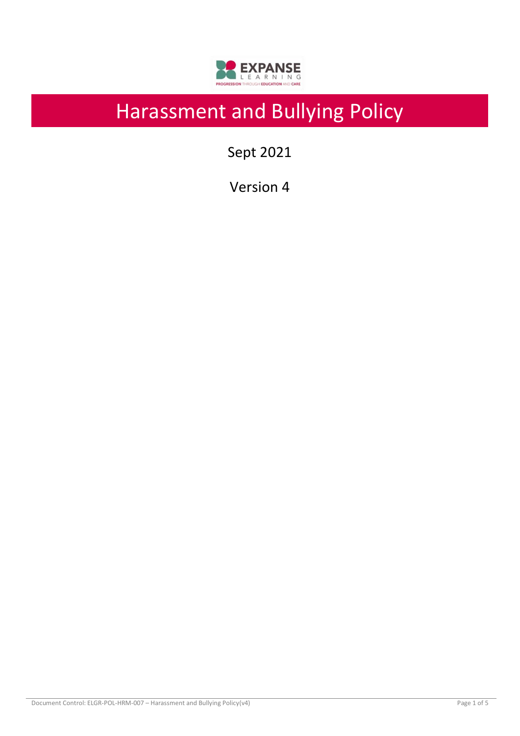

# Harassment and Bullying Policy

Sept 2021

Version 4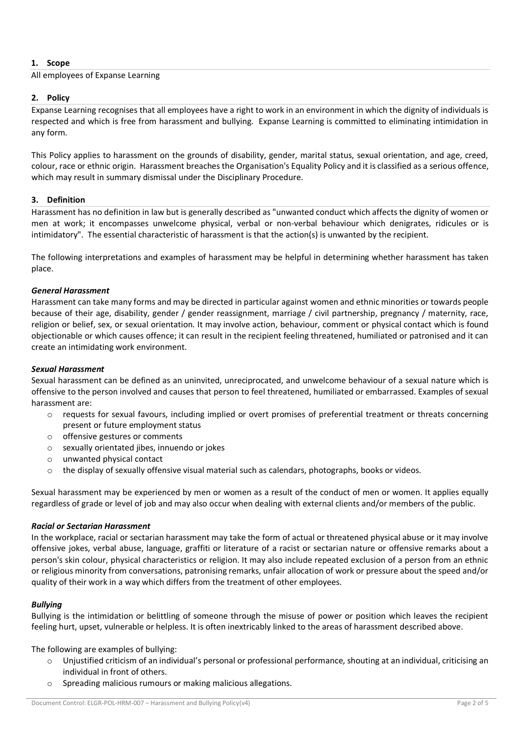## **1. Scope**

## All employees of Expanse Learning

## **2. Policy**

Expanse Learning recognises that all employees have a right to work in an environment in which the dignity of individuals is respected and which is free from harassment and bullying. Expanse Learning is committed to eliminating intimidation in any form.

This Policy applies to harassment on the grounds of disability, gender, marital status, sexual orientation, and age, creed, colour, race or ethnic origin. Harassment breaches the Organisation's Equality Policy and it is classified as a serious offence, which may result in summary dismissal under the Disciplinary Procedure.

## **3. Definition**

Harassment has no definition in law but is generally described as "unwanted conduct which affects the dignity of women or men at work; it encompasses unwelcome physical, verbal or non-verbal behaviour which denigrates, ridicules or is intimidatory". The essential characteristic of harassment is that the action(s) is unwanted by the recipient.

The following interpretations and examples of harassment may be helpful in determining whether harassment has taken place.

## *General Harassment*

Harassment can take many forms and may be directed in particular against women and ethnic minorities or towards people because of their age, disability, gender / gender reassignment, marriage / civil partnership, pregnancy / maternity, race, religion or belief, sex, or sexual orientation. It may involve action, behaviour, comment or physical contact which is found objectionable or which causes offence; it can result in the recipient feeling threatened, humiliated or patronised and it can create an intimidating work environment.

#### *Sexual Harassment*

Sexual harassment can be defined as an uninvited, unreciprocated, and unwelcome behaviour of a sexual nature which is offensive to the person involved and causes that person to feel threatened, humiliated or embarrassed. Examples of sexual harassment are:

- o requests for sexual favours, including implied or overt promises of preferential treatment or threats concerning present or future employment status
- o offensive gestures or comments
- o sexually orientated jibes, innuendo or jokes
- o unwanted physical contact
- $\circ$  the display of sexually offensive visual material such as calendars, photographs, books or videos.

Sexual harassment may be experienced by men or women as a result of the conduct of men or women. It applies equally regardless of grade or level of job and may also occur when dealing with external clients and/or members of the public.

#### *Racial or Sectarian Harassment*

In the workplace, racial or sectarian harassment may take the form of actual or threatened physical abuse or it may involve offensive jokes, verbal abuse, language, graffiti or literature of a racist or sectarian nature or offensive remarks about a person's skin colour, physical characteristics or religion. It may also include repeated exclusion of a person from an ethnic or religious minority from conversations, patronising remarks, unfair allocation of work or pressure about the speed and/or quality of their work in a way which differs from the treatment of other employees.

#### *Bullying*

Bullying is the intimidation or belittling of someone through the misuse of power or position which leaves the recipient feeling hurt, upset, vulnerable or helpless. It is often inextricably linked to the areas of harassment described above.

The following are examples of bullying:

- o Unjustified criticism of an individual's personal or professional performance, shouting at an individual, criticising an individual in front of others.
- o Spreading malicious rumours or making malicious allegations.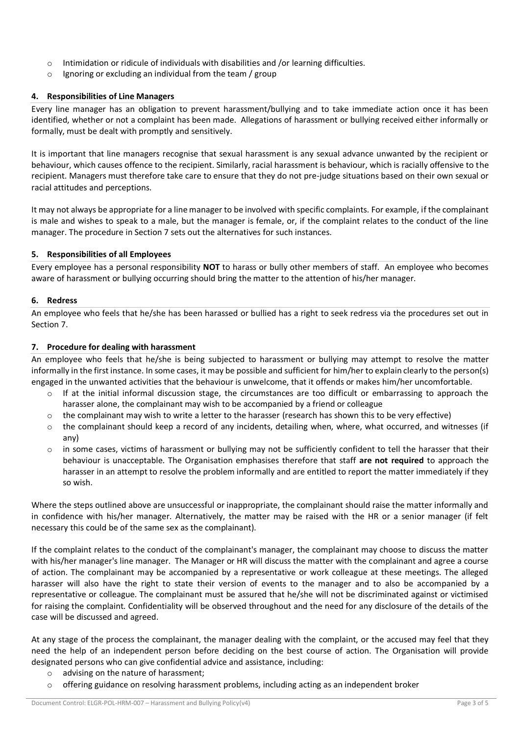- o Intimidation or ridicule of individuals with disabilities and /or learning difficulties.
- $\circ$  Ignoring or excluding an individual from the team / group

## **4. Responsibilities of Line Managers**

Every line manager has an obligation to prevent harassment/bullying and to take immediate action once it has been identified, whether or not a complaint has been made. Allegations of harassment or bullying received either informally or formally, must be dealt with promptly and sensitively.

It is important that line managers recognise that sexual harassment is any sexual advance unwanted by the recipient or behaviour, which causes offence to the recipient. Similarly, racial harassment is behaviour, which is racially offensive to the recipient. Managers must therefore take care to ensure that they do not pre-judge situations based on their own sexual or racial attitudes and perceptions.

It may not always be appropriate for a line manager to be involved with specific complaints. For example, if the complainant is male and wishes to speak to a male, but the manager is female, or, if the complaint relates to the conduct of the line manager. The procedure in Section 7 sets out the alternatives for such instances.

## **5. Responsibilities of all Employees**

Every employee has a personal responsibility **NOT** to harass or bully other members of staff. An employee who becomes aware of harassment or bullying occurring should bring the matter to the attention of his/her manager.

## **6. Redress**

An employee who feels that he/she has been harassed or bullied has a right to seek redress via the procedures set out in Section 7.

## **7. Procedure for dealing with harassment**

An employee who feels that he/she is being subjected to harassment or bullying may attempt to resolve the matter informally in the first instance. In some cases, it may be possible and sufficient for him/her to explain clearly to the person(s) engaged in the unwanted activities that the behaviour is unwelcome, that it offends or makes him/her uncomfortable.

- $\circ$  If at the initial informal discussion stage, the circumstances are too difficult or embarrassing to approach the harasser alone, the complainant may wish to be accompanied by a friend or colleague
- $\circ$  the complainant may wish to write a letter to the harasser (research has shown this to be very effective)
- $\circ$  the complainant should keep a record of any incidents, detailing when, where, what occurred, and witnesses (if any)
- $\circ$  in some cases, victims of harassment or bullying may not be sufficiently confident to tell the harasser that their behaviour is unacceptable. The Organisation emphasises therefore that staff **are not required** to approach the harasser in an attempt to resolve the problem informally and are entitled to report the matter immediately if they so wish.

Where the steps outlined above are unsuccessful or inappropriate, the complainant should raise the matter informally and in confidence with his/her manager. Alternatively, the matter may be raised with the HR or a senior manager (if felt necessary this could be of the same sex as the complainant).

If the complaint relates to the conduct of the complainant's manager, the complainant may choose to discuss the matter with his/her manager's line manager. The Manager or HR will discuss the matter with the complainant and agree a course of action. The complainant may be accompanied by a representative or work colleague at these meetings. The alleged harasser will also have the right to state their version of events to the manager and to also be accompanied by a representative or colleague. The complainant must be assured that he/she will not be discriminated against or victimised for raising the complaint. Confidentiality will be observed throughout and the need for any disclosure of the details of the case will be discussed and agreed.

At any stage of the process the complainant, the manager dealing with the complaint, or the accused may feel that they need the help of an independent person before deciding on the best course of action. The Organisation will provide designated persons who can give confidential advice and assistance, including:

- o advising on the nature of harassment;
- $\circ$  offering guidance on resolving harassment problems, including acting as an independent broker